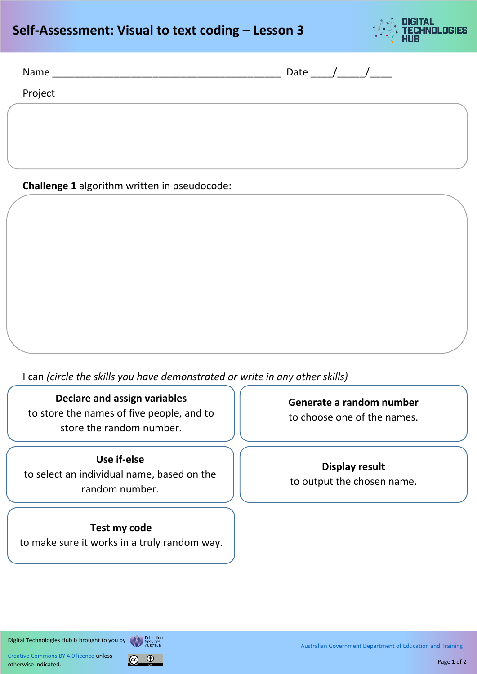# **Self-Assessment: Visual to text coding – Lesson 3**



| Name    | Date |
|---------|------|
| Project |      |
|         |      |

**Challenge 1** algorithm written in pseudocode:

I can *(circle the skills you have demonstrated or write in any other skills)* 

#### **Declare and assign variables**

to store the names of five people, and to store the random number.

### **Use if-else**

to select an individual name, based on the random number.

#### **Test my code**

to make sure it works in a truly random way.

**Generate a random number** to choose one of the names.

**Display result** to output the chosen name.

Digital Technologies Hub is brought to you by Education

[Creative Commons BY 4.0 licence](https://creativecommons.org/licenses/by/4.0/) unless otherwise indicated.



[Australian Government Department of Education and Training](https://www.education.gov.au/)